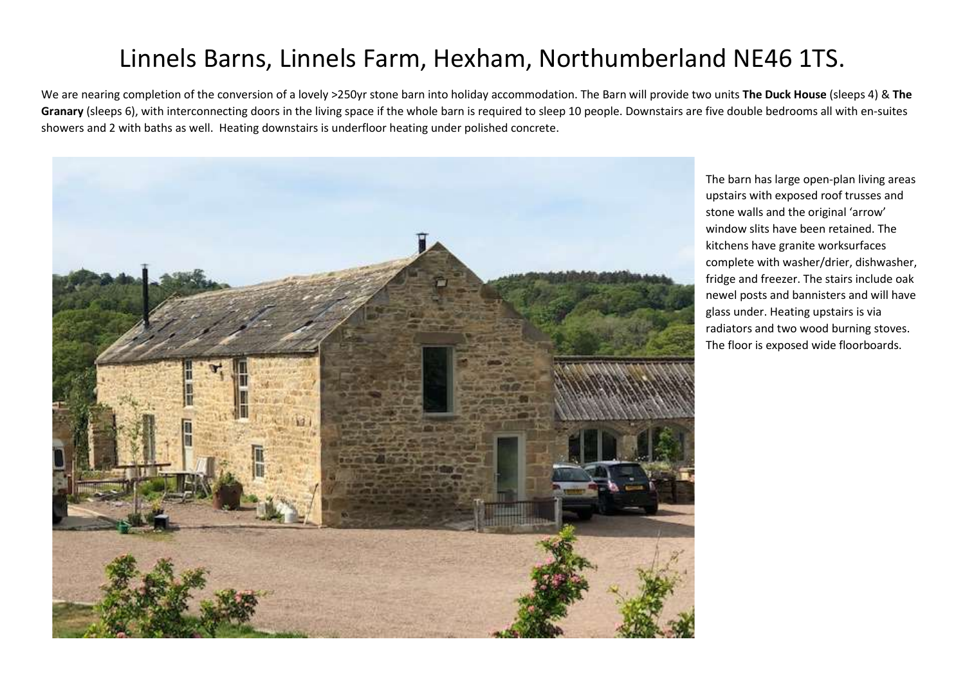## Linnels Barns, Linnels Farm, Hexham, Northumberland NE46 1TS.

We are nearing completion of the conversion of a lovely >250yr stone barn into holiday accommodation. The Barn will provide two units **The Duck House** (sleeps 4) & **The Granary** (sleeps 6), with interconnecting doors in the living space if the whole barn is required to sleep 10 people. Downstairs are five double bedrooms all with en-suites showers and 2 with baths as well. Heating downstairs is underfloor heating under polished concrete.



The barn has large open-plan living areas upstairs with exposed roof trusses and stone walls and the original 'arrow' window slits have been retained. The kitchens have granite worksurfaces complete with washer/drier, dishwasher, fridge and freezer. The stairs include oak newel posts and bannisters and will have glass under. Heating upstairs is via radiators and two wood burning stoves. The floor is exposed wide floorboards.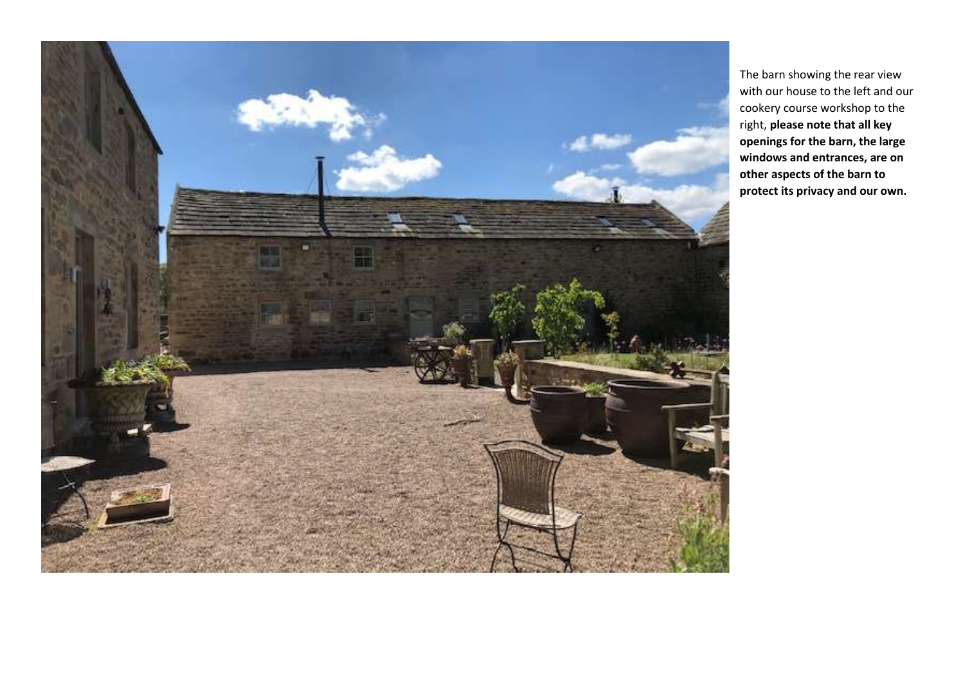

The barn showing the rear view with our house to the left and our cookery course workshop to the right, **please note that all key openings for the barn, the large windows and entrances, are on other aspects of the barn to protect its privacy and our own.**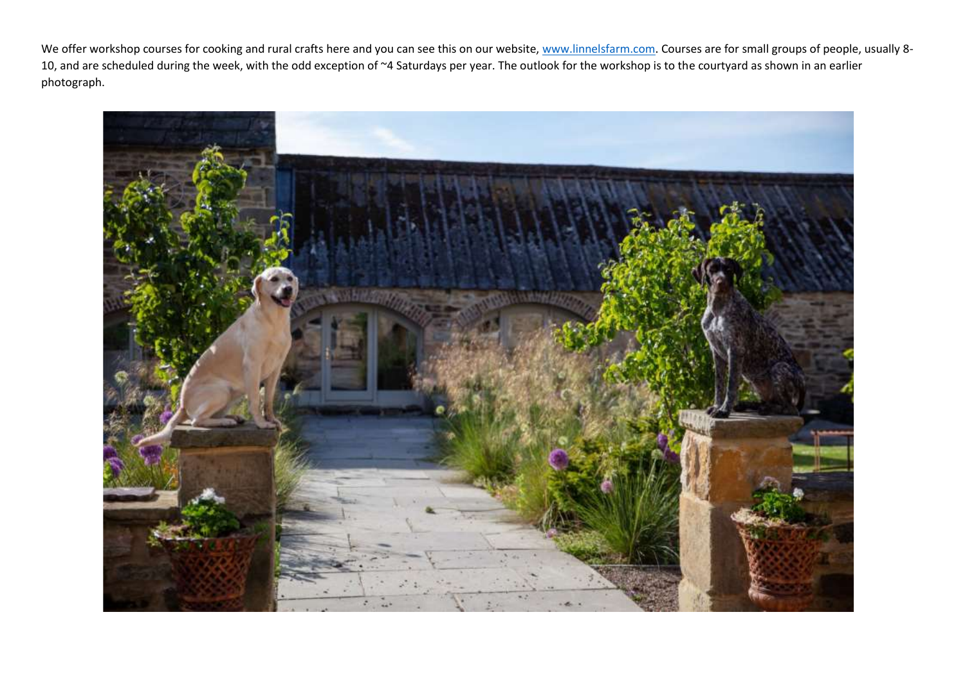We offer workshop courses for cooking and rural crafts here and you can see this on our website, [www.linnelsfarm.com.](http://www.linnelsfarm.com/) Courses are for small groups of people, usually 8-10, and are scheduled during the week, with the odd exception of ~4 Saturdays per year. The outlook for the workshop is to the courtyard as shown in an earlier photograph.

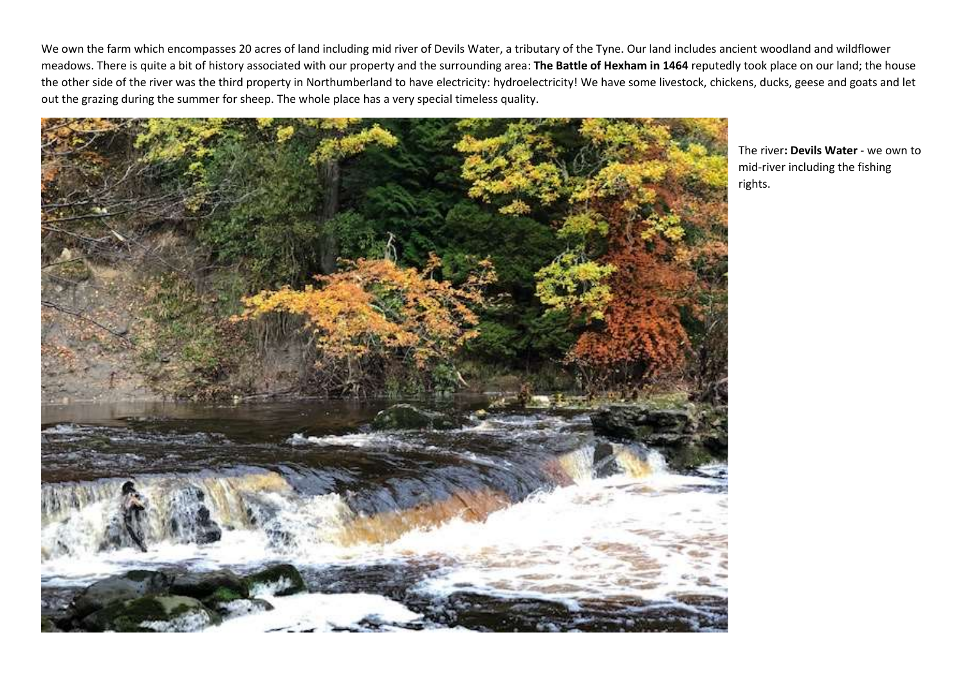We own the farm which encompasses 20 acres of land including mid river of Devils Water, a tributary of the Tyne. Our land includes ancient woodland and wildflower meadows. There is quite a bit of history associated with our property and the surrounding area: **The Battle of Hexham in 1464** reputedly took place on our land; the house the other side of the river was the third property in Northumberland to have electricity: hydroelectricity! We have some livestock, chickens, ducks, geese and goats and let out the grazing during the summer for sheep. The whole place has a very special timeless quality.



The river**: Devils Water** - we own to mid-river including the fishing rights.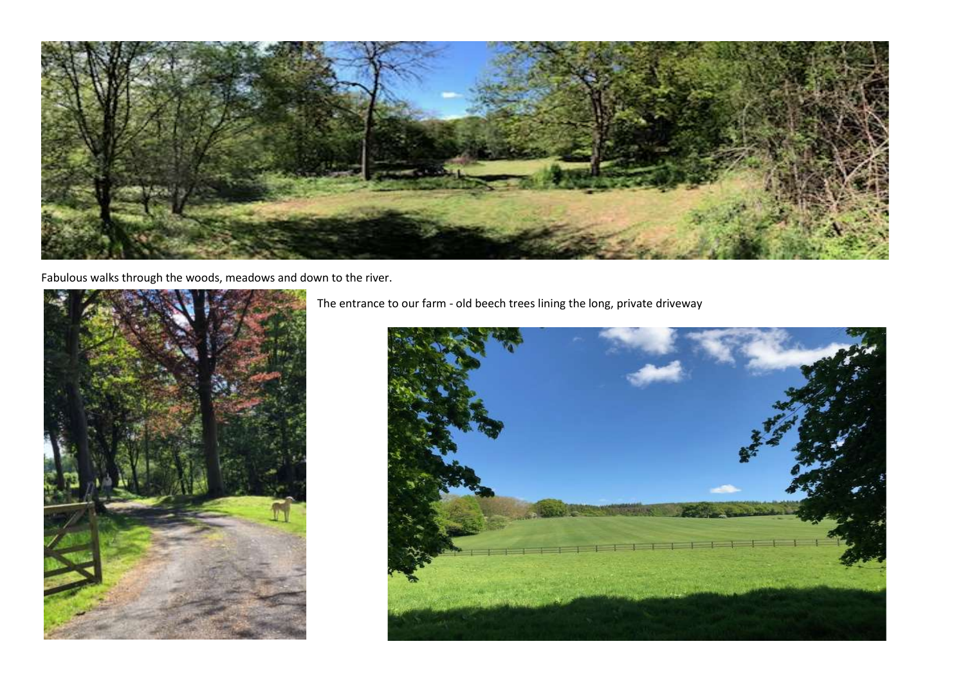

Fabulous walks through the woods, meadows and down to the river.



The entrance to our farm - old beech trees lining the long, private driveway

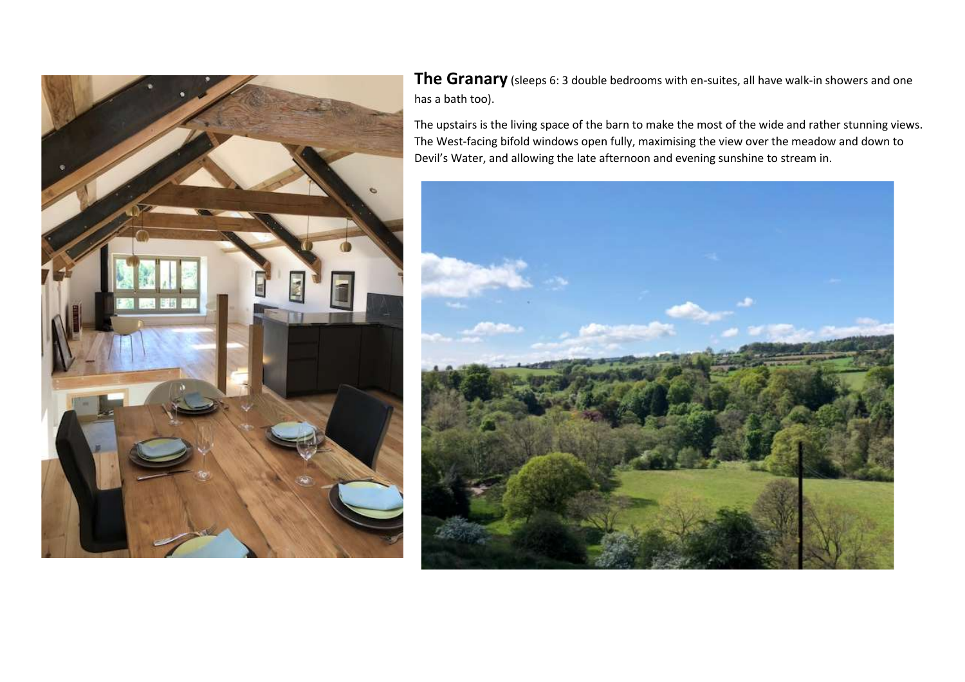

**The Granary** (sleeps 6: 3 double bedrooms with en-suites, all have walk-in showers and one has a bath too).

The upstairs is the living space of the barn to make the most of the wide and rather stunning views. The West-facing bifold windows open fully, maximising the view over the meadow and down to Devil's Water, and allowing the late afternoon and evening sunshine to stream in.

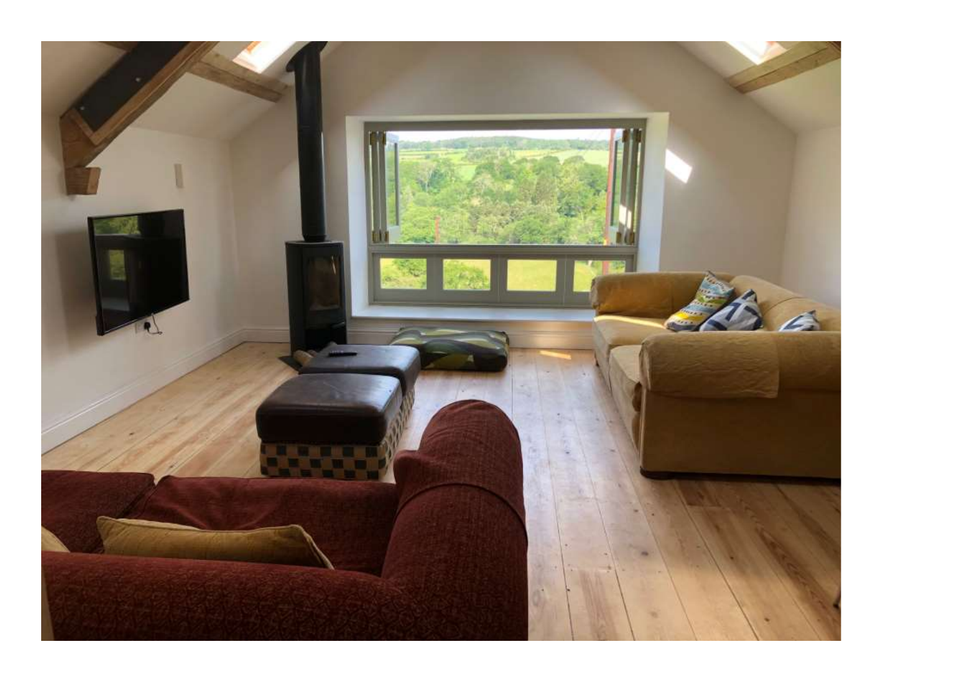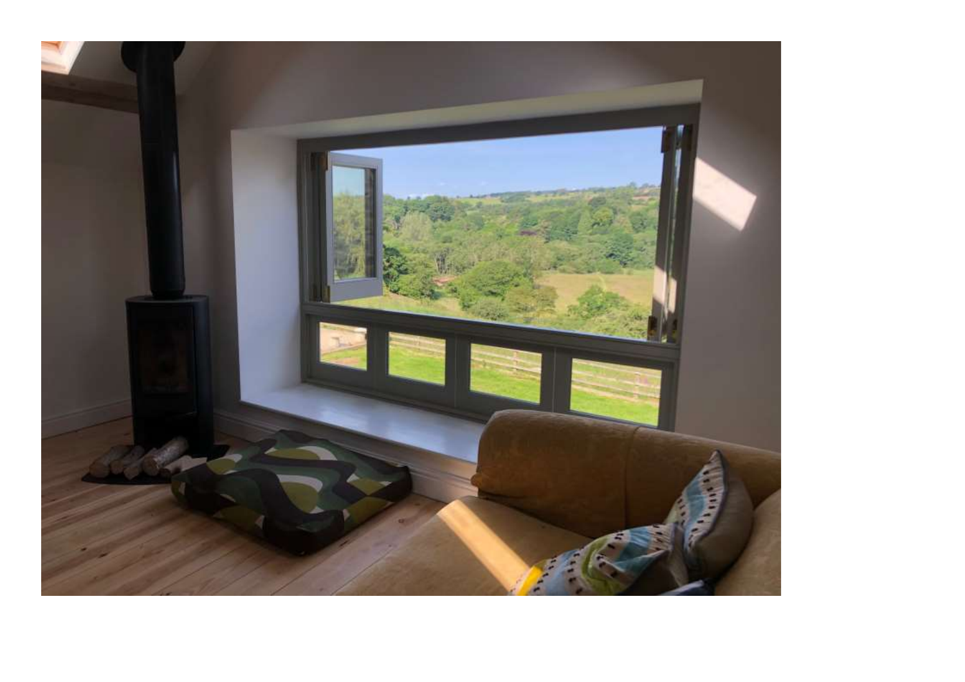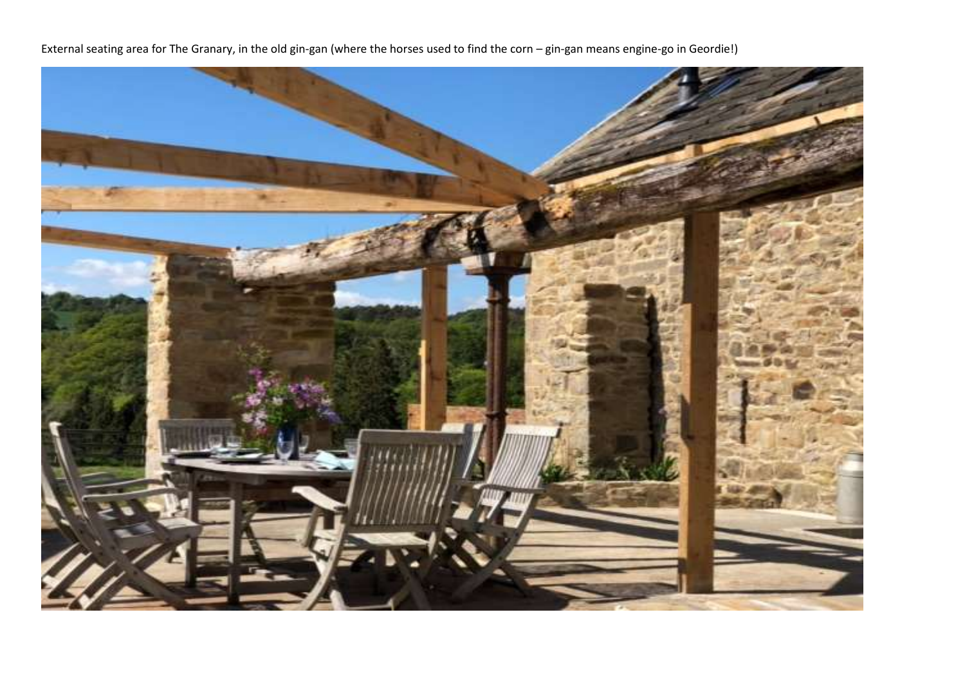![](_page_8_Picture_0.jpeg)

External seating area for The Granary, in the old gin-gan (where the horses used to find the corn – gin-gan means engine-go in Geordie!)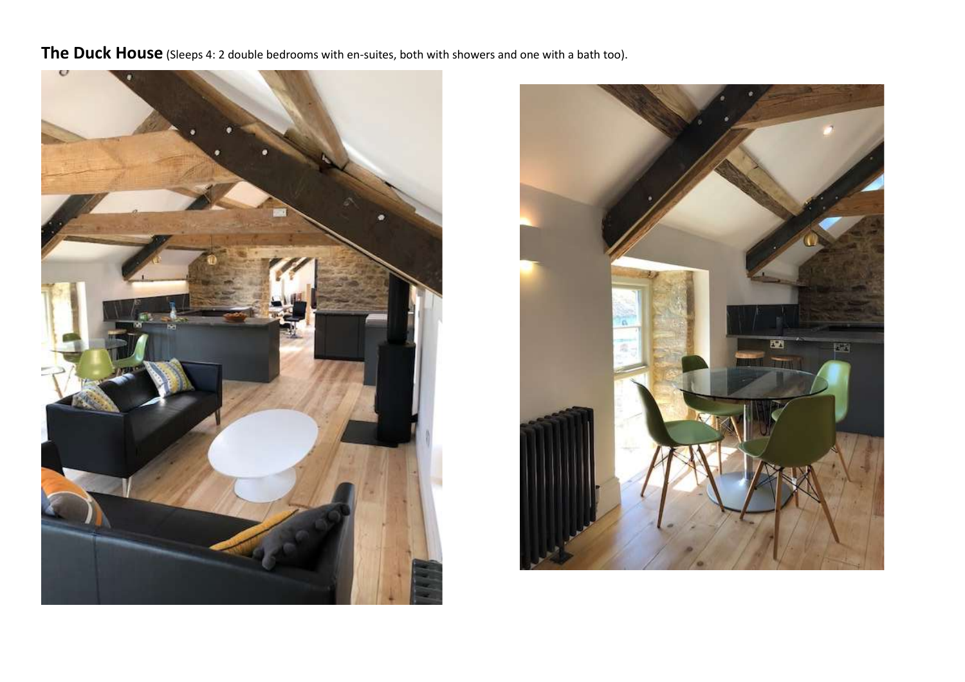**The Duck House** (Sleeps 4: 2 double bedrooms with en-suites, both with showers and one with a bath too).

![](_page_9_Picture_1.jpeg)

![](_page_9_Picture_2.jpeg)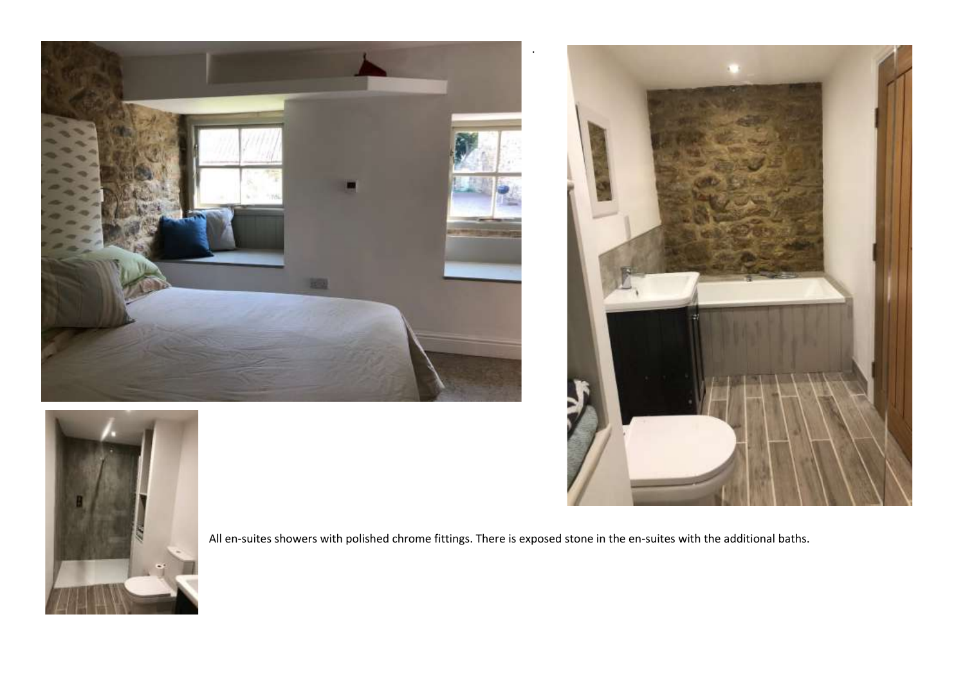![](_page_10_Picture_0.jpeg)

![](_page_10_Picture_1.jpeg)

![](_page_10_Picture_2.jpeg)

All en-suites showers with polished chrome fittings. There is exposed stone in the en-suites with the additional baths.

.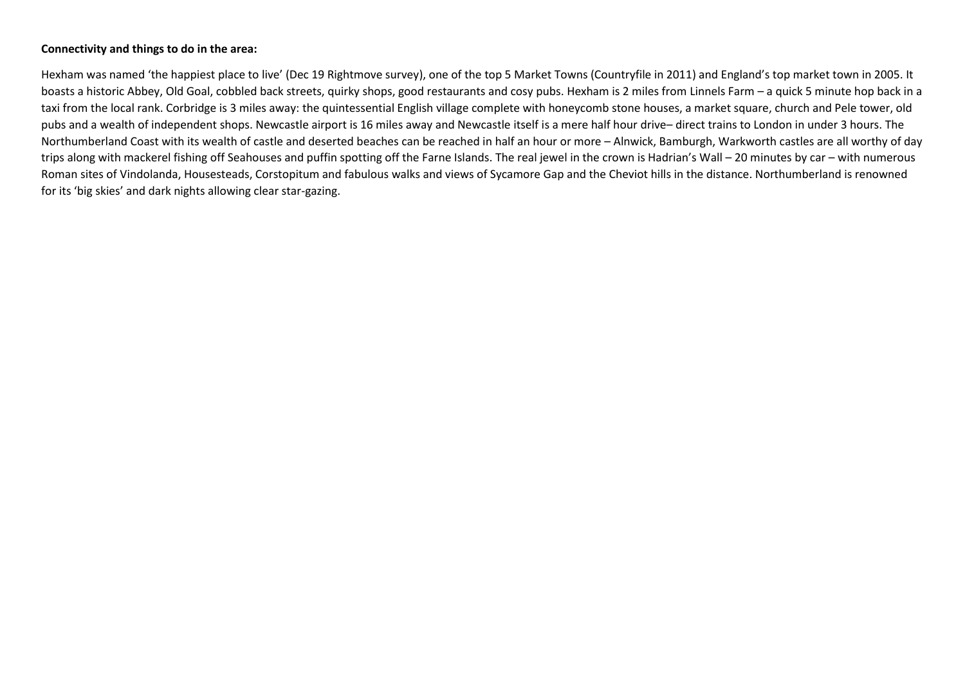## **Connectivity and things to do in the area:**

Hexham was named 'the happiest place to live' (Dec 19 Rightmove survey), one of the top 5 Market Towns (Countryfile in 2011) and England's top market town in 2005. It boasts a historic Abbey, Old Goal, cobbled back streets, quirky shops, good restaurants and cosy pubs. Hexham is 2 miles from Linnels Farm – a quick 5 minute hop back in a taxi from the local rank. Corbridge is 3 miles away: the quintessential English village complete with honeycomb stone houses, a market square, church and Pele tower, old pubs and a wealth of independent shops. Newcastle airport is 16 miles away and Newcastle itself is a mere half hour drive– direct trains to London in under 3 hours. The Northumberland Coast with its wealth of castle and deserted beaches can be reached in half an hour or more – Alnwick, Bamburgh, Warkworth castles are all worthy of day trips along with mackerel fishing off Seahouses and puffin spotting off the Farne Islands. The real jewel in the crown is Hadrian's Wall – 20 minutes by car – with numerous Roman sites of Vindolanda, Housesteads, Corstopitum and fabulous walks and views of Sycamore Gap and the Cheviot hills in the distance. Northumberland is renowned for its 'big skies' and dark nights allowing clear star-gazing.